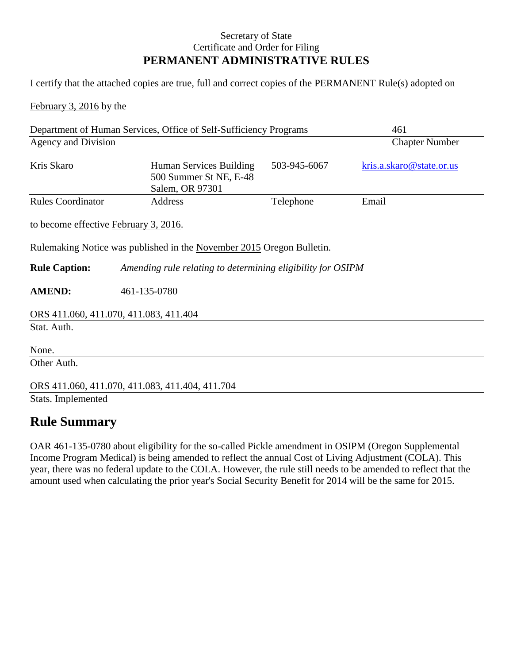## Secretary of State Certificate and Order for Filing **PERMANENT ADMINISTRATIVE RULES**

I certify that the attached copies are true, full and correct copies of the PERMANENT Rule(s) adopted on

February 3, 2016 by the

| Department of Human Services, Office of Self-Sufficiency Programs |                                                                       |              | 461                      |  |
|-------------------------------------------------------------------|-----------------------------------------------------------------------|--------------|--------------------------|--|
| Agency and Division                                               |                                                                       |              | <b>Chapter Number</b>    |  |
| Kris Skaro                                                        | Human Services Building<br>500 Summer St NE, E-48<br>Salem, OR 97301  | 503-945-6067 | kris.a.skaro@state.or.us |  |
| <b>Rules Coordinator</b>                                          | Address                                                               | Telephone    | Email                    |  |
| to become effective February 3, 2016.                             |                                                                       |              |                          |  |
|                                                                   | Rulemaking Notice was published in the November 2015 Oregon Bulletin. |              |                          |  |
| <b>Rule Caption:</b>                                              | Amending rule relating to determining eligibility for OSIPM           |              |                          |  |
| <b>AMEND:</b>                                                     | 461-135-0780                                                          |              |                          |  |
| ORS 411.060, 411.070, 411.083, 411.404                            |                                                                       |              |                          |  |
| Stat. Auth.                                                       |                                                                       |              |                          |  |
| None.                                                             |                                                                       |              |                          |  |
| Other Auth.                                                       |                                                                       |              |                          |  |
|                                                                   | ORS 411.060, 411.070, 411.083, 411.404, 411.704                       |              |                          |  |
| Stats. Implemented                                                |                                                                       |              |                          |  |

## **Rule Summary**

OAR 461-135-0780 about eligibility for the so-called Pickle amendment in OSIPM (Oregon Supplemental Income Program Medical) is being amended to reflect the annual Cost of Living Adjustment (COLA). This year, there was no federal update to the COLA. However, the rule still needs to be amended to reflect that the amount used when calculating the prior year's Social Security Benefit for 2014 will be the same for 2015.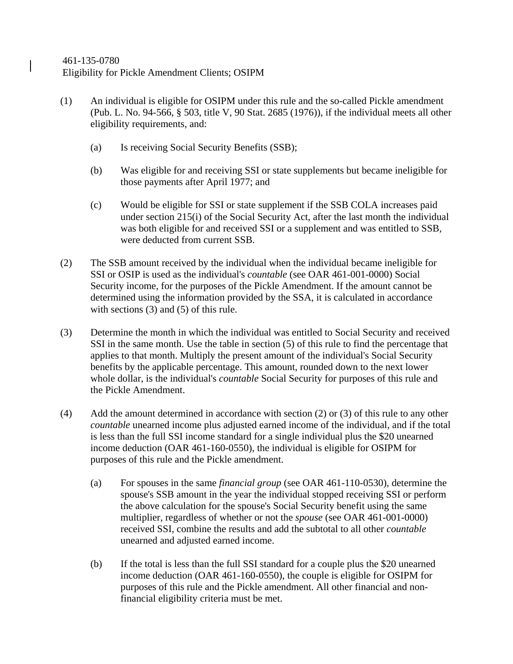- (1) An individual is eligible for OSIPM under this rule and the so-called Pickle amendment (Pub. L. No. 94-566, § 503, title V, 90 Stat. 2685 (1976)), if the individual meets all other eligibility requirements, and:
	- (a) Is receiving Social Security Benefits (SSB);
	- (b) Was eligible for and receiving SSI or state supplements but became ineligible for those payments after April 1977; and
	- (c) Would be eligible for SSI or state supplement if the SSB COLA increases paid under section 215(i) of the Social Security Act, after the last month the individual was both eligible for and received SSI or a supplement and was entitled to SSB, were deducted from current SSB.
- (2) The SSB amount received by the individual when the individual became ineligible for SSI or OSIP is used as the individual's *countable* (see OAR 461-001-0000) Social Security income, for the purposes of the Pickle Amendment. If the amount cannot be determined using the information provided by the SSA, it is calculated in accordance with sections (3) and (5) of this rule.
- (3) Determine the month in which the individual was entitled to Social Security and received SSI in the same month. Use the table in section (5) of this rule to find the percentage that applies to that month. Multiply the present amount of the individual's Social Security benefits by the applicable percentage. This amount, rounded down to the next lower whole dollar, is the individual's *countable* Social Security for purposes of this rule and the Pickle Amendment.
- (4) Add the amount determined in accordance with section (2) or (3) of this rule to any other *countable* unearned income plus adjusted earned income of the individual, and if the total is less than the full SSI income standard for a single individual plus the \$20 unearned income deduction (OAR 461-160-0550), the individual is eligible for OSIPM for purposes of this rule and the Pickle amendment.
	- (a) For spouses in the same *financial group* (see OAR 461-110-0530), determine the spouse's SSB amount in the year the individual stopped receiving SSI or perform the above calculation for the spouse's Social Security benefit using the same multiplier, regardless of whether or not the *spouse* (see OAR 461-001-0000) received SSI, combine the results and add the subtotal to all other *countable* unearned and adjusted earned income.
	- (b) If the total is less than the full SSI standard for a couple plus the \$20 unearned income deduction (OAR 461-160-0550), the couple is eligible for OSIPM for purposes of this rule and the Pickle amendment. All other financial and nonfinancial eligibility criteria must be met.